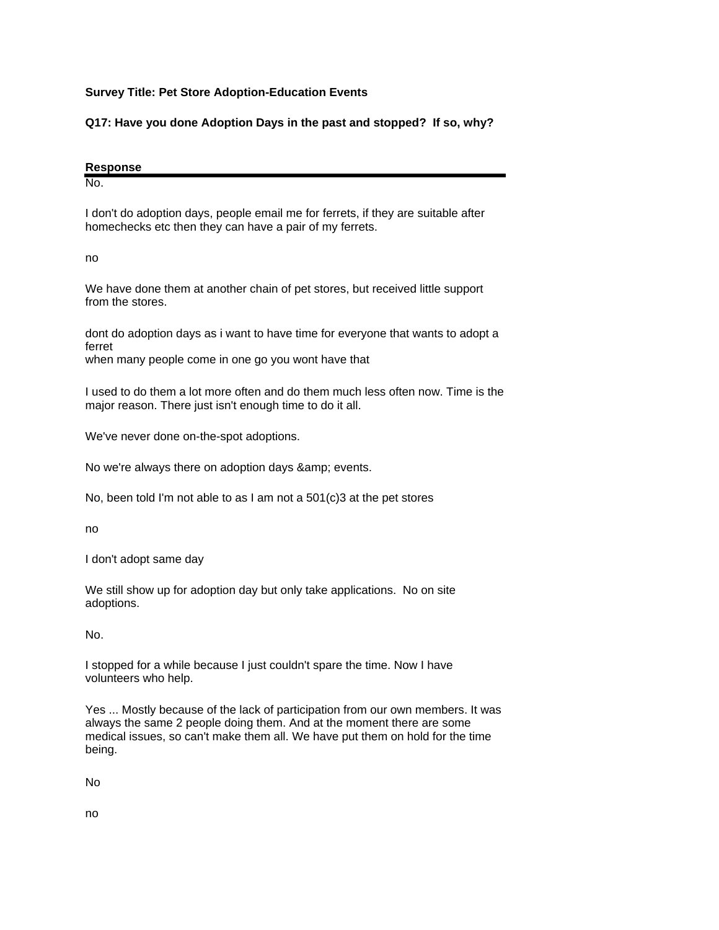## **Survey Title: Pet Store Adoption-Education Events**

**Q17: Have you done Adoption Days in the past and stopped? If so, why?**

| Response |  |  |
|----------|--|--|
| No.      |  |  |

I don't do adoption days, people email me for ferrets, if they are suitable after homechecks etc then they can have a pair of my ferrets.

no

We have done them at another chain of pet stores, but received little support from the stores.

dont do adoption days as i want to have time for everyone that wants to adopt a ferret when many people come in one go you wont have that

I used to do them a lot more often and do them much less often now. Time is the major reason. There just isn't enough time to do it all.

We've never done on-the-spot adoptions.

No we're always there on adoption days & amp; events.

No, been told I'm not able to as I am not a 501(c)3 at the pet stores

no

I don't adopt same day

We still show up for adoption day but only take applications. No on site adoptions.

No.

I stopped for a while because I just couldn't spare the time. Now I have volunteers who help.

Yes ... Mostly because of the lack of participation from our own members. It was always the same 2 people doing them. And at the moment there are some medical issues, so can't make them all. We have put them on hold for the time being.

No

no